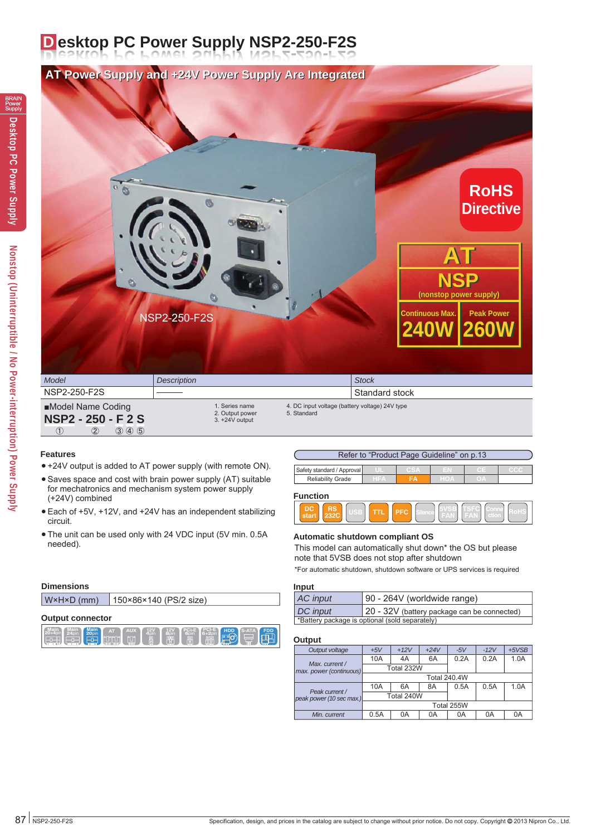### **D esktop PC Power Supply NSP2-250-F2S**



#### **Features**

**Main <sup>24</sup>**pin **Main**

**Dimensions**

**Output connector**

 $\boxed{1}$   $\boxed{2}$   $\boxed{3}$   $\boxed{4}$   $\boxed{5}$ 

- +24V output is added to AT power supply (with remote ON).
- Saves space and cost with brain power supply (AT) suitable for mechatronics and mechanism system power supply (+24V) combined
- Each of +5V, +12V, and +24V has an independent stabilizing circuit.
- The unit can be used only with 24 VDC input (5V min. 0.5A needed).

**20 H**DD **Main AT AUX HDD ADD EDD EDD EDD EDD EDD EDD EDD EDD EDD EDD EDD EDD EDD EDD EDD EDD EDD EDD EDD EDD EDD EDD EDD EDD EDD EDD EDD EDD EDD EDD 4**pin **12V 8**pin **PCI-E**

**6PCI-E**<br>**6pin 6**+2pir **6+2**pin

W×H×D (mm) 150×86×140 (PS/2 size)

#### Refer to "Product Page Guideline" on p.13 **Safety standard / Approval C**  $Reliability$  Grade **Function**



#### **Automatic shutdown compliant OS**

This model can automatically shut down\* the OS but please note that 5VSB does not stop after shutdown

\*For automatic shutdown, shutdown software or UPS services is required

| Input    |                                                |  |  |  |  |  |
|----------|------------------------------------------------|--|--|--|--|--|
| AC input | 90 - 264V (worldwide range)                    |  |  |  |  |  |
| DC input | 20 - 32V (battery package can be connected)    |  |  |  |  |  |
|          | *Battery package is optional (sold separately) |  |  |  |  |  |

#### **Output**

| Output voltage                             | $+5V$               | $+12V$     | $+24V$ | $-5V$      | $-12V$ | $+5VSB$ |  |  |
|--------------------------------------------|---------------------|------------|--------|------------|--------|---------|--|--|
|                                            | 10A                 | 4A         | 6A     | 0.2A       | 0.2A   | 1.0A    |  |  |
| Max. current /<br>max. power (continuous)  |                     | Total 232W |        |            |        |         |  |  |
|                                            | <b>Total 240.4W</b> |            |        |            |        |         |  |  |
|                                            | 10A                 | 6A         | 8A     | 0.5A       | 0.5A   | 1.0A    |  |  |
| Peak current /<br>peak power (10 sec max.) |                     | Total 240W |        |            |        |         |  |  |
|                                            |                     |            |        | Total 255W |        |         |  |  |
| Min. current                               | 0.5A                | 0A         | 0Α     | 0A         | 0A     | 0A      |  |  |
|                                            |                     |            |        |            |        |         |  |  |

## BRAIN Power Supply **Desktop PC Power Supply**

# Nonstop (Uninterruptible / No Power-interruption) Power Supply **Nonstop (Uninterruptible / No Power-interruption) Power Supply**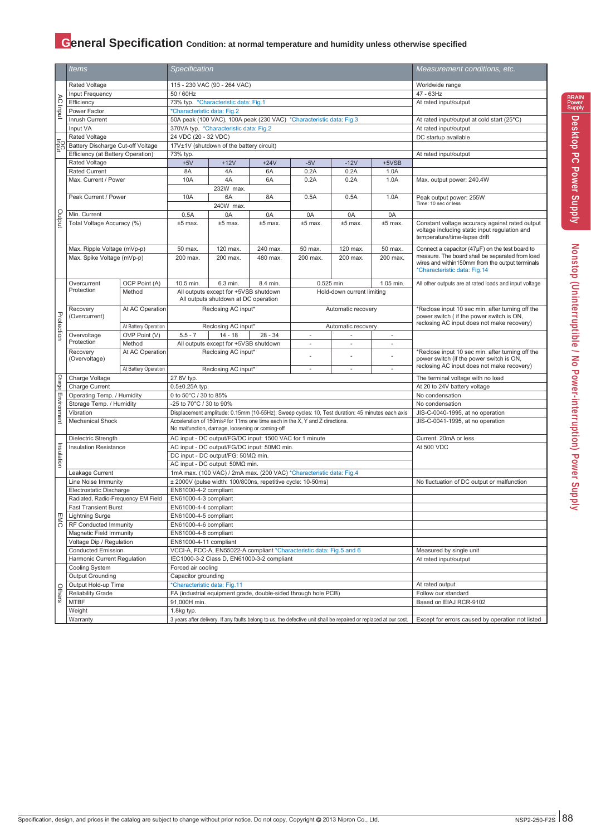#### **General Specification** Condition: at normal temperature and humidity unless otherwise specified

|                                                           | <i>Items</i>                                                                                                                  |                                       | <b>Specification</b>                                                              |                                                                                                |                                                                                                 |                                                  |                                                                                              |                 | Measurement conditions, etc.                                                                                                    |  |  |  |
|-----------------------------------------------------------|-------------------------------------------------------------------------------------------------------------------------------|---------------------------------------|-----------------------------------------------------------------------------------|------------------------------------------------------------------------------------------------|-------------------------------------------------------------------------------------------------|--------------------------------------------------|----------------------------------------------------------------------------------------------|-----------------|---------------------------------------------------------------------------------------------------------------------------------|--|--|--|
|                                                           |                                                                                                                               |                                       |                                                                                   |                                                                                                |                                                                                                 |                                                  |                                                                                              |                 |                                                                                                                                 |  |  |  |
|                                                           | Rated Voltage<br>115 - 230 VAC (90 - 264 VAC)<br>Input Frequency<br>50 / 60Hz                                                 |                                       |                                                                                   |                                                                                                |                                                                                                 |                                                  | Worldwide range<br>47 - 63Hz                                                                 |                 |                                                                                                                                 |  |  |  |
|                                                           | Efficiency                                                                                                                    |                                       | 73% typ. *Characteristic data: Fig.1                                              |                                                                                                |                                                                                                 |                                                  |                                                                                              |                 | At rated input/output                                                                                                           |  |  |  |
| $\infty$<br>Inqni<br>E8<br>putput<br>Protection<br>Charge | Power Factor                                                                                                                  |                                       | *Characteristic data: Fig.2                                                       |                                                                                                |                                                                                                 |                                                  |                                                                                              |                 |                                                                                                                                 |  |  |  |
|                                                           | Inrush Current                                                                                                                |                                       |                                                                                   |                                                                                                | 50A peak (100 VAC), 100A peak (230 VAC) *Characteristic data: Fig.3                             |                                                  |                                                                                              |                 | At rated input/output at cold start (25°C)                                                                                      |  |  |  |
|                                                           | Input VA                                                                                                                      |                                       |                                                                                   | 370VA typ. * Characteristic data: Fig.2                                                        |                                                                                                 |                                                  |                                                                                              |                 | At rated input/output                                                                                                           |  |  |  |
|                                                           | Rated Voltage                                                                                                                 |                                       | 24 VDC (20 - 32 VDC)                                                              |                                                                                                |                                                                                                 |                                                  |                                                                                              |                 | DC startup available                                                                                                            |  |  |  |
|                                                           | Battery Discharge Cut-off Voltage                                                                                             |                                       |                                                                                   | 17V±1V (shutdown of the battery circuit)                                                       |                                                                                                 |                                                  |                                                                                              |                 |                                                                                                                                 |  |  |  |
|                                                           | Efficiency (at Battery Operation)                                                                                             |                                       | 73% typ.                                                                          |                                                                                                |                                                                                                 |                                                  |                                                                                              |                 | At rated input/output                                                                                                           |  |  |  |
|                                                           | Rated Voltage                                                                                                                 |                                       | $+5V$                                                                             | $+12V$                                                                                         | $+24V$                                                                                          | $-5V$                                            | $-12V$                                                                                       | +5VSB           |                                                                                                                                 |  |  |  |
|                                                           | <b>Rated Current</b>                                                                                                          |                                       | 8A                                                                                | 4A                                                                                             | 6A                                                                                              | 0.2A                                             | 0.2A                                                                                         | 1.0A            |                                                                                                                                 |  |  |  |
| Environment<br>nsulation                                  | Max. Current / Power                                                                                                          |                                       | 10A                                                                               | 4A                                                                                             | 6A                                                                                              | 0.2A                                             | 0.2A                                                                                         | 1.0A            | Max. output power: 240.4W                                                                                                       |  |  |  |
|                                                           |                                                                                                                               |                                       |                                                                                   | 232W max.                                                                                      |                                                                                                 |                                                  |                                                                                              |                 |                                                                                                                                 |  |  |  |
|                                                           | Peak Current / Power                                                                                                          |                                       | 10A                                                                               | 6A                                                                                             | 8A                                                                                              | 0.5A                                             | 0.5A                                                                                         | 1.0A            | Peak output power: 255W                                                                                                         |  |  |  |
|                                                           |                                                                                                                               |                                       |                                                                                   | 240W max.                                                                                      |                                                                                                 |                                                  |                                                                                              |                 | Time: 10 sec or less                                                                                                            |  |  |  |
|                                                           | Min. Current                                                                                                                  |                                       | 0.5A                                                                              | 0A                                                                                             | 0A                                                                                              | 0A                                               | 0A                                                                                           | 0A              |                                                                                                                                 |  |  |  |
|                                                           | Total Voltage Accuracy (%)                                                                                                    |                                       | $±5$ max.                                                                         | $±5$ max.                                                                                      | $±5$ max.                                                                                       | $±5$ max.                                        | $±5$ max.                                                                                    | $±5$ max.       | Constant voltage accuracy against rated output<br>voltage including static input regulation and<br>temperature/time-lapse drift |  |  |  |
|                                                           | Max. Ripple Voltage (mVp-p)                                                                                                   |                                       | 50 max.                                                                           | 120 max.                                                                                       | 240 max.                                                                                        | 50 max.                                          | 120 max.                                                                                     | 50 max.         | Connect a capacitor (47µF) on the test board to                                                                                 |  |  |  |
|                                                           | Max. Spike Voltage (mVp-p)                                                                                                    |                                       | 200 max.                                                                          | 200 max.                                                                                       | 480 max.                                                                                        | 200 max.                                         | 200 max.                                                                                     | 200 max.        | measure. The board shall be separated from load                                                                                 |  |  |  |
|                                                           |                                                                                                                               |                                       |                                                                                   |                                                                                                |                                                                                                 |                                                  |                                                                                              |                 | wires and within150mm from the output terminals<br>*Characteristic data: Fig.14                                                 |  |  |  |
|                                                           |                                                                                                                               |                                       |                                                                                   |                                                                                                |                                                                                                 |                                                  |                                                                                              |                 |                                                                                                                                 |  |  |  |
|                                                           | Overcurrent                                                                                                                   | OCP Point (A)                         | 10.5 min.                                                                         | 6.3 min.                                                                                       | 8.4 min.                                                                                        |                                                  | 0.525 min.                                                                                   | 1.05 min.       | All other outputs are at rated loads and input voltage                                                                          |  |  |  |
|                                                           | Protection                                                                                                                    | Method                                |                                                                                   | All outputs except for +5VSB shutdown                                                          |                                                                                                 |                                                  | Hold-down current limiting                                                                   |                 |                                                                                                                                 |  |  |  |
|                                                           |                                                                                                                               |                                       | All outputs shutdown at DC operation                                              |                                                                                                |                                                                                                 |                                                  |                                                                                              |                 |                                                                                                                                 |  |  |  |
|                                                           | Recovery<br>(Overcurrent)                                                                                                     | At AC Operation                       | Reclosing AC input*<br>Automatic recovery                                         |                                                                                                |                                                                                                 |                                                  | *Reclose input 10 sec min. after turning off the<br>power switch (if the power switch is ON, |                 |                                                                                                                                 |  |  |  |
|                                                           |                                                                                                                               |                                       |                                                                                   |                                                                                                |                                                                                                 |                                                  |                                                                                              |                 | reclosing AC input does not make recovery)                                                                                      |  |  |  |
|                                                           | Overvoltage                                                                                                                   | At Battery Operation<br>OVP Point (V) | $5.5 - 7$                                                                         | Reclosing AC input*<br>$14 - 18$                                                               | $28 - 34$                                                                                       | ×.                                               | Automatic recovery                                                                           | ÷,              |                                                                                                                                 |  |  |  |
|                                                           | Protection                                                                                                                    | Method                                |                                                                                   | All outputs except for +5VSB shutdown                                                          |                                                                                                 | $\sim$                                           | ÷.                                                                                           | ÷               |                                                                                                                                 |  |  |  |
|                                                           | At AC Operation<br>Recovery                                                                                                   |                                       |                                                                                   | Reclosing AC input*                                                                            |                                                                                                 |                                                  |                                                                                              |                 | *Reclose input 10 sec min. after turning off the                                                                                |  |  |  |
|                                                           | (Overvoltage)                                                                                                                 |                                       |                                                                                   |                                                                                                |                                                                                                 |                                                  |                                                                                              |                 | power switch (if the power switch is ON,                                                                                        |  |  |  |
|                                                           |                                                                                                                               | At Battery Operation                  |                                                                                   | Reclosing AC input*                                                                            |                                                                                                 | $\sim$                                           | $\sim$                                                                                       | ä,              | reclosing AC input does not make recovery)                                                                                      |  |  |  |
|                                                           | Charge Voltage                                                                                                                |                                       | 27.6V typ.                                                                        |                                                                                                |                                                                                                 |                                                  |                                                                                              |                 | The terminal voltage with no load                                                                                               |  |  |  |
|                                                           | Charge Current                                                                                                                |                                       | $0.5\pm0.25$ A typ.                                                               |                                                                                                |                                                                                                 |                                                  |                                                                                              |                 | At 20 to 24V battery voltage                                                                                                    |  |  |  |
|                                                           | Operating Temp. / Humidity                                                                                                    |                                       | 0 to 50°C / 30 to 85%                                                             |                                                                                                |                                                                                                 |                                                  |                                                                                              |                 | No condensation                                                                                                                 |  |  |  |
|                                                           | Storage Temp. / Humidity                                                                                                      |                                       | -25 to 70°C / 30 to 90%                                                           |                                                                                                |                                                                                                 |                                                  |                                                                                              | No condensation |                                                                                                                                 |  |  |  |
|                                                           | Vibration                                                                                                                     |                                       |                                                                                   |                                                                                                | Displacement amplitude: 0.15mm (10-55Hz), Sweep cycles: 10, Test duration: 45 minutes each axis |                                                  |                                                                                              |                 | JIS-C-0040-1995, at no operation                                                                                                |  |  |  |
|                                                           | <b>Mechanical Shock</b>                                                                                                       |                                       |                                                                                   | No malfunction, damage, loosening or coming-off                                                | Acceleration of 150m/s <sup>2</sup> for 11ms one time each in the X, Y and Z directions.        |                                                  |                                                                                              |                 | JIS-C-0041-1995, at no operation                                                                                                |  |  |  |
|                                                           |                                                                                                                               |                                       |                                                                                   |                                                                                                |                                                                                                 |                                                  |                                                                                              |                 |                                                                                                                                 |  |  |  |
|                                                           | Dielectric Strength<br><b>Insulation Resistance</b>                                                                           |                                       |                                                                                   |                                                                                                | AC input - DC output/FG/DC input: 1500 VAC for 1 minute                                         |                                                  |                                                                                              |                 | Current: 20mA or less<br>At 500 VDC                                                                                             |  |  |  |
|                                                           |                                                                                                                               |                                       | AC input - DC output/FG/DC input: 50MΩ min.<br>DC input - DC output/FG: 50MQ min. |                                                                                                |                                                                                                 |                                                  |                                                                                              |                 |                                                                                                                                 |  |  |  |
|                                                           |                                                                                                                               |                                       |                                                                                   | AC input - DC output: 50MΩ min.                                                                |                                                                                                 |                                                  |                                                                                              |                 |                                                                                                                                 |  |  |  |
|                                                           | Leakage Current                                                                                                               |                                       |                                                                                   |                                                                                                | 1mA max. (100 VAC) / 2mA max. (200 VAC) *Characteristic data: Fig.4                             |                                                  |                                                                                              |                 |                                                                                                                                 |  |  |  |
|                                                           | Line Noise Immunity                                                                                                           |                                       |                                                                                   |                                                                                                | ± 2000V (pulse width: 100/800ns, repetitive cycle: 10-50ms)                                     |                                                  |                                                                                              |                 | No fluctuation of DC output or malfunction                                                                                      |  |  |  |
|                                                           | Electrostatic Discharge                                                                                                       |                                       | EN61000-4-2 compliant                                                             |                                                                                                |                                                                                                 |                                                  |                                                                                              |                 |                                                                                                                                 |  |  |  |
|                                                           | Radiated, Radio-Frequency EM Field                                                                                            |                                       | EN61000-4-3 compliant                                                             |                                                                                                |                                                                                                 |                                                  |                                                                                              |                 |                                                                                                                                 |  |  |  |
|                                                           | <b>Fast Transient Burst</b>                                                                                                   |                                       | EN61000-4-4 compliant                                                             |                                                                                                |                                                                                                 |                                                  |                                                                                              |                 |                                                                                                                                 |  |  |  |
| <b>EMC</b>                                                | <b>Lightning Surge</b>                                                                                                        |                                       | EN61000-4-5 compliant                                                             |                                                                                                |                                                                                                 |                                                  |                                                                                              |                 |                                                                                                                                 |  |  |  |
|                                                           | RF Conducted Immunity                                                                                                         |                                       | EN61000-4-6 compliant                                                             |                                                                                                |                                                                                                 |                                                  |                                                                                              |                 |                                                                                                                                 |  |  |  |
|                                                           | Magnetic Field Immunity                                                                                                       |                                       | EN61000-4-8 compliant                                                             |                                                                                                |                                                                                                 |                                                  |                                                                                              |                 |                                                                                                                                 |  |  |  |
|                                                           | Voltage Dip / Regulation<br>EN61000-4-11 compliant                                                                            |                                       |                                                                                   |                                                                                                |                                                                                                 |                                                  |                                                                                              |                 |                                                                                                                                 |  |  |  |
|                                                           | <b>Conducted Emission</b><br>VCCI-A, FCC-A, EN55022-A compliant *Characteristic data: Fig.5 and 6                             |                                       |                                                                                   |                                                                                                |                                                                                                 |                                                  | Measured by single unit                                                                      |                 |                                                                                                                                 |  |  |  |
|                                                           | Harmonic Current Regulation<br>IEC1000-3-2 Class D, EN61000-3-2 compliant                                                     |                                       |                                                                                   |                                                                                                |                                                                                                 |                                                  | At rated input/output                                                                        |                 |                                                                                                                                 |  |  |  |
|                                                           | Cooling System                                                                                                                |                                       | Forced air cooling                                                                |                                                                                                |                                                                                                 |                                                  |                                                                                              |                 |                                                                                                                                 |  |  |  |
|                                                           | Output Grounding<br>Capacitor grounding                                                                                       |                                       |                                                                                   |                                                                                                |                                                                                                 |                                                  | At rated output                                                                              |                 |                                                                                                                                 |  |  |  |
|                                                           | Output Hold-up Time<br>Reliability Grade                                                                                      |                                       |                                                                                   | *Characteristic data: Fig.11<br>FA (industrial equipment grade, double-sided through hole PCB) |                                                                                                 |                                                  |                                                                                              |                 | Follow our standard                                                                                                             |  |  |  |
| <b>Others</b>                                             | <b>MTBF</b>                                                                                                                   |                                       | 91,000H min.                                                                      |                                                                                                |                                                                                                 |                                                  |                                                                                              |                 | Based on EIAJ RCR-9102                                                                                                          |  |  |  |
|                                                           | Weight                                                                                                                        |                                       | 1.8kg typ.                                                                        |                                                                                                |                                                                                                 |                                                  |                                                                                              |                 |                                                                                                                                 |  |  |  |
|                                                           | Warranty<br>3 years after delivery. If any faults belong to us, the defective unit shall be repaired or replaced at our cost. |                                       |                                                                                   |                                                                                                |                                                                                                 | Except for errors caused by operation not listed |                                                                                              |                 |                                                                                                                                 |  |  |  |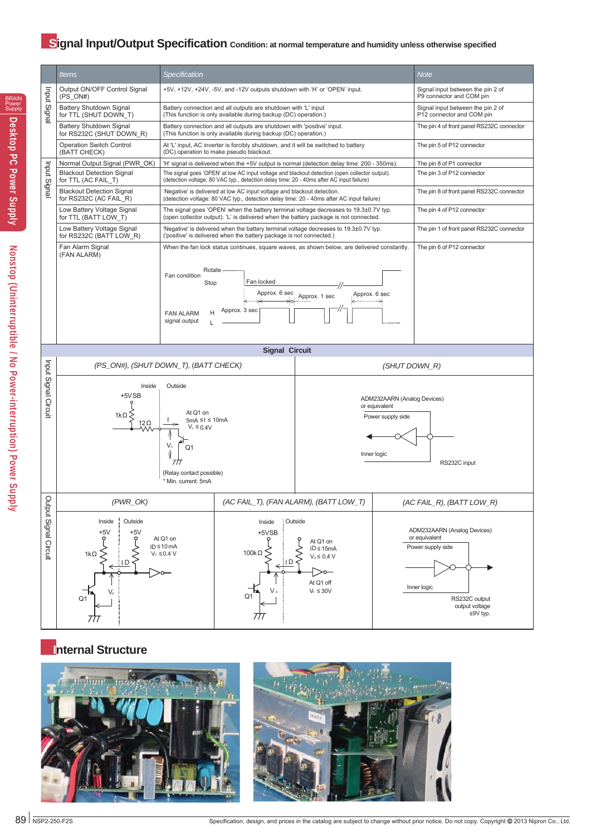#### **Signal Input/Output Specification** Condition: at normal temperature and humidity unless otherwise specified



#### **Internal Structure**



BRAIN Power Supply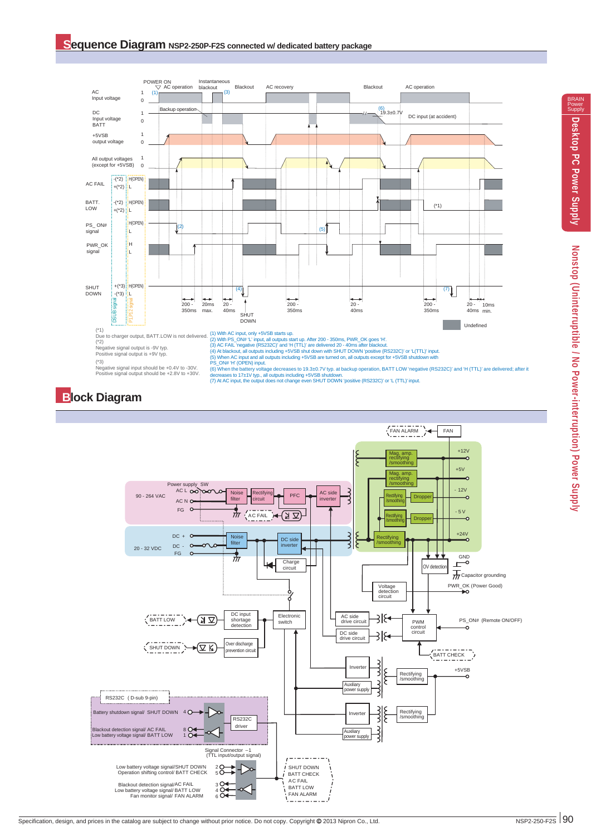

(\*3) Negative signal input should be +0.4V to -30V. ( $*3$ )<br>Negative signal input should be +0.4V to -30V.<br>Positive signal output should be +2.8V to +30V.

(6) When the battery voltage decreases to 19.3±0.7V typ. at backup operation, BATT LOW 'negative (RS232C)' and 'H (TTL)' are delivered; after it<br>decreases to 17±1V typ., all outputs including +5VSB shutdown.<br>(7) At AC inpu

#### **Block Diagram**

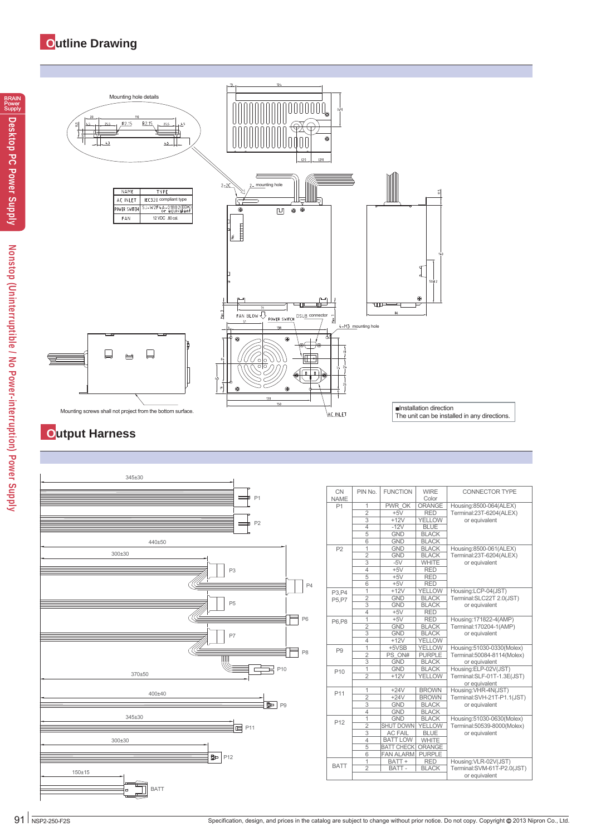#### **Outline Drawing**



#### **Output Harness**



| <b>CN</b>       | PIN No.        | <b>FUNCTION</b>   | <b>WIRE</b>   | <b>CONNECTOR TYPE</b>      |
|-----------------|----------------|-------------------|---------------|----------------------------|
| <b>NAME</b>     |                |                   | Color         |                            |
| P <sub>1</sub>  | 1              | <b>PWR OK</b>     | ORANGE        | Housing:8500-064(ALEX)     |
|                 | $\overline{2}$ | $+5V$             | <b>RED</b>    | Terminal:23T-6204(ALEX)    |
|                 | 3              | $+12V$            | <b>YELLOW</b> | or equivalent              |
|                 | $\overline{4}$ | $-12V$            | <b>BLUE</b>   |                            |
|                 | $\overline{5}$ | <b>GND</b>        | <b>BLACK</b>  |                            |
|                 | $\overline{6}$ | <b>GND</b>        | <b>BLACK</b>  |                            |
| P <sub>2</sub>  | $\overline{1}$ | <b>GND</b>        | <b>BLACK</b>  | Housing:8500-061(ALEX)     |
|                 | $\overline{2}$ | <b>GND</b>        | <b>BLACK</b>  | Terminal:23T-6204(ALEX)    |
|                 | $\overline{3}$ | $-5V$             | <b>WHITE</b>  | or equivalent              |
|                 | $\overline{4}$ | $+5V$             | <b>RED</b>    |                            |
|                 | 5              | $+5V$             | <b>RED</b>    |                            |
|                 | 6              | $+5V$             | <b>RED</b>    |                            |
| P3.P4           | $\overline{1}$ | $+12V$            | <b>YELLOW</b> | Housing:LCP-04(JST)        |
| P5.P7           | $\overline{2}$ | <b>GND</b>        | <b>BLACK</b>  | Terminal:SLC22T 2.0(JST)   |
|                 | $\overline{3}$ | <b>GND</b>        | <b>BLACK</b>  | or equivalent              |
|                 | $\overline{4}$ | $+5V$             | <b>RED</b>    |                            |
| P6, P8          | $\overline{1}$ | $+5V$             | <b>RED</b>    | Housing:171822-4(AMP)      |
|                 | $\overline{2}$ | <b>GND</b>        | <b>BLACK</b>  | Terminal: 170204-1 (AMP)   |
|                 | $\overline{3}$ | <b>GND</b>        | <b>BLACK</b>  | or equivalent              |
|                 | $\overline{4}$ | $+12V$            | <b>YELLOW</b> |                            |
| P <sub>9</sub>  | 1              | +5VSB             | <b>YELLOW</b> | Housing:51030-0330(Molex)  |
|                 | $\overline{2}$ | PS ON#            | <b>PURPLE</b> | Terminal:50084-8114(Molex) |
|                 | 3              | <b>GND</b>        | <b>BLACK</b>  | or equivalent              |
| P <sub>10</sub> | 1              | <b>GND</b>        | <b>BLACK</b>  | Housing:ELP-02V(JST)       |
|                 | $\overline{2}$ | $+12V$            | <b>YELLOW</b> | Terminal:SLF-01T-1.3E(JST) |
|                 |                |                   |               | or equivalent              |
|                 | $\mathbf{1}$   | $+24V$            | <b>BROWN</b>  | Housing:VHR-4N(JST)        |
| P11             | $\overline{2}$ | $+24V$            | <b>BROWN</b>  | Terminal:SVH-21T-P1.1(JST) |
|                 |                | <b>GND</b>        | <b>BLACK</b>  | or equivalent              |
|                 | $\overline{4}$ | <b>GND</b>        | <b>BLACK</b>  |                            |
|                 | 1              | <b>GND</b>        | <b>BLACK</b>  | Housing:51030-0630(Molex)  |
| P <sub>12</sub> | $\overline{2}$ | <b>SHUT DOWN</b>  | YELLOW        | Terminal:50539-8000(Molex) |
|                 | 3              | <b>AC FAIL</b>    | <b>BLUE</b>   | or equivalent              |
|                 | $\overline{4}$ | <b>BATT LOW</b>   | <b>WHITE</b>  |                            |
|                 | 5              | <b>BATT CHECK</b> | <b>ORANGE</b> |                            |
|                 | 6              | <b>FAN ALARM</b>  | <b>PURPLE</b> |                            |
|                 | 1              | BATT+             | <b>RED</b>    | Housing:VLR-02V(JST)       |
| <b>BATT</b>     | $\overline{2}$ | BATT-             | <b>BLACK</b>  | Terminal:SVM-61T-P2.0(JST) |
|                 |                |                   |               | or equivalent              |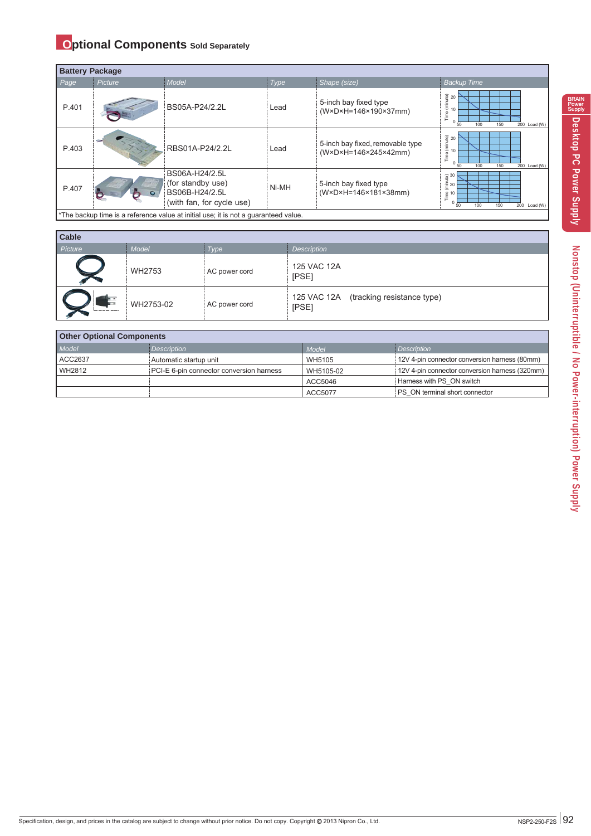#### **Optional Components** Sold Separately

|       | <b>Battery Package</b>                                                              |                                                                                    |       |                                                          |                                                                                                                                 |  |  |  |  |  |
|-------|-------------------------------------------------------------------------------------|------------------------------------------------------------------------------------|-------|----------------------------------------------------------|---------------------------------------------------------------------------------------------------------------------------------|--|--|--|--|--|
| Page  | Picture                                                                             | Model                                                                              | Type  | Shape (size)                                             | <b>Backup Time</b>                                                                                                              |  |  |  |  |  |
| P.401 |                                                                                     | BS05A-P24/2.2L                                                                     | Lead  | 5-inch bay fixed type<br>(W×D×H=146×190×37mm)            | $\frac{20}{2}$ 20<br>$\frac{1}{2}$ 10<br>Time<br>100<br>50<br>150<br>200 Load (W)                                               |  |  |  |  |  |
| P.403 |                                                                                     | RBS01A-P24/2.2L                                                                    | Lead  | 5-inch bay fixed, removable type<br>(W×D×H=146×245×42mm) | $\begin{bmatrix} 1 & 20 \\ 1 & 10 \end{bmatrix}$<br>Time<br>100<br>200 Load (W)<br>50<br>150                                    |  |  |  |  |  |
| P.407 |                                                                                     | BS06A-H24/2.5L<br>(for standby use)<br>BS06B-H24/2.5L<br>(with fan, for cycle use) | Ni-MH | 5-inch bay fixed type<br>(W×D×H=146×181×38mm)            | $\begin{array}{c}\n\oplus \\ \oplus \\ \oplus \\ \end{array}$ 30<br>$\frac{2}{\sqrt{2}}$ 10<br>200 Load (W)<br>50<br>100<br>150 |  |  |  |  |  |
|       | *The backup time is a reference value at initial use; it is not a quaranteed value. |                                                                                    |       |                                                          |                                                                                                                                 |  |  |  |  |  |

| <b>Cable</b> |           |               |                                                 |
|--------------|-----------|---------------|-------------------------------------------------|
| Picture      | Model     | Type          | <b>Description</b>                              |
|              | WH2753    | AC power cord | 125 VAC 12A<br>[PSE]                            |
|              | WH2753-02 | AC power cord | 125 VAC 12A (tracking resistance type)<br>[PSE] |

| <b>Other Optional Components</b> |                                          |           |                                                |  |  |  |  |  |
|----------------------------------|------------------------------------------|-----------|------------------------------------------------|--|--|--|--|--|
| Model                            | Description                              | Model     | Description                                    |  |  |  |  |  |
| ACC2637                          | Automatic startup unit                   | WH5105    | 12V 4-pin connector conversion harness (80mm)  |  |  |  |  |  |
| WH2812                           | PCI-E 6-pin connector conversion harness | WH5105-02 | 12V 4-pin connector conversion harness (320mm) |  |  |  |  |  |
|                                  |                                          | ACC5046   | Harness with PS ON switch                      |  |  |  |  |  |
|                                  |                                          | ACC5077   | PS ON terminal short connector                 |  |  |  |  |  |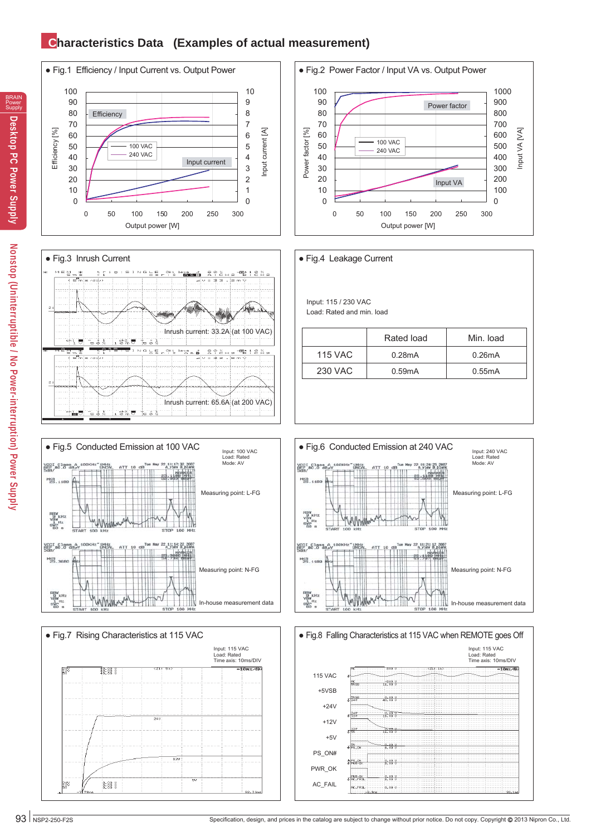#### **Characteristics Data (Examples of actual measurement)**